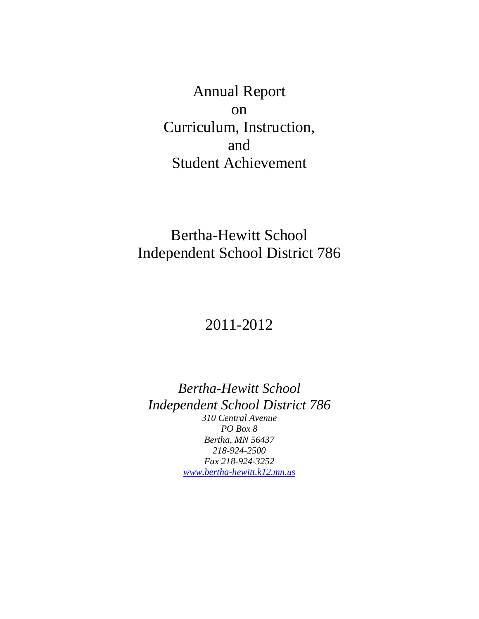Annual Report on Curriculum, Instruction, and Student Achievement

# Bertha-Hewitt School Independent School District 786

# 2011-2012

*Bertha-Hewitt School Independent School District 786 310 Central Avenue PO Box 8 Bertha, MN 56437 218-924-2500 Fax 218-924-3252 [www.bertha-hewitt.k12.mn.us](http://www.bertha-hewitt.k12.mn.us/)*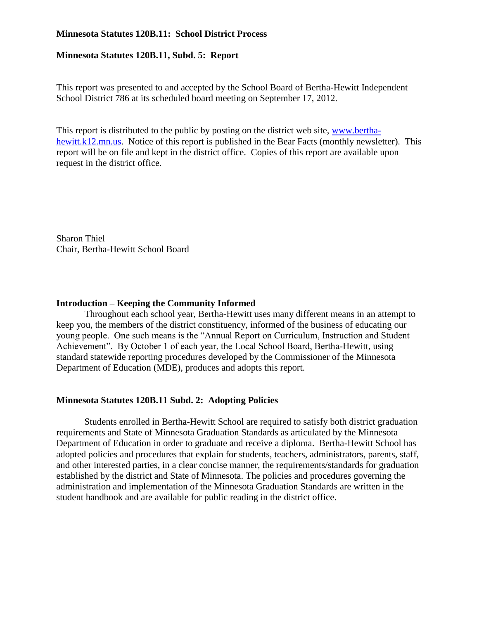#### **Minnesota Statutes 120B.11: School District Process**

#### **Minnesota Statutes 120B.11, Subd. 5: Report**

This report was presented to and accepted by the School Board of Bertha-Hewitt Independent School District 786 at its scheduled board meeting on September 17, 2012.

This report is distributed to the public by posting on the district web site, [www.bertha](http://www.bertha-hewitt.k12.mn.us/)[hewitt.k12.mn.us.](http://www.bertha-hewitt.k12.mn.us/) Notice of this report is published in the Bear Facts (monthly newsletter). This report will be on file and kept in the district office. Copies of this report are available upon request in the district office.

Sharon Thiel Chair, Bertha-Hewitt School Board

#### **Introduction – Keeping the Community Informed**

Throughout each school year, Bertha-Hewitt uses many different means in an attempt to keep you, the members of the district constituency, informed of the business of educating our young people. One such means is the "Annual Report on Curriculum, Instruction and Student Achievement". By October 1 of each year, the Local School Board, Bertha-Hewitt, using standard statewide reporting procedures developed by the Commissioner of the Minnesota Department of Education (MDE), produces and adopts this report.

## **Minnesota Statutes 120B.11 Subd. 2: Adopting Policies**

Students enrolled in Bertha-Hewitt School are required to satisfy both district graduation requirements and State of Minnesota Graduation Standards as articulated by the Minnesota Department of Education in order to graduate and receive a diploma. Bertha-Hewitt School has adopted policies and procedures that explain for students, teachers, administrators, parents, staff, and other interested parties, in a clear concise manner, the requirements/standards for graduation established by the district and State of Minnesota. The policies and procedures governing the administration and implementation of the Minnesota Graduation Standards are written in the student handbook and are available for public reading in the district office.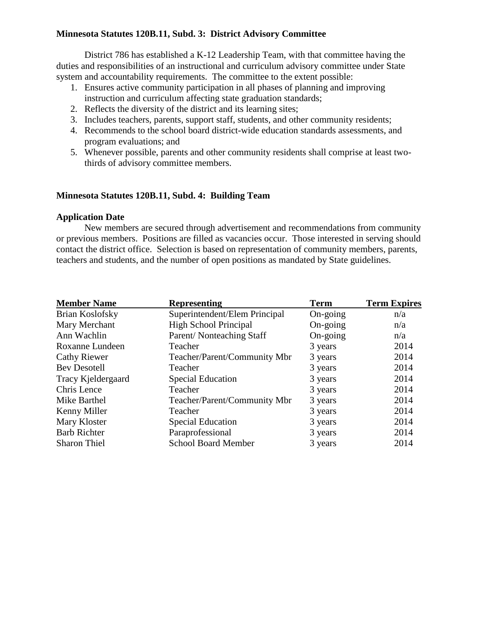# **Minnesota Statutes 120B.11, Subd. 3: District Advisory Committee**

District 786 has established a K-12 Leadership Team, with that committee having the duties and responsibilities of an instructional and curriculum advisory committee under State system and accountability requirements. The committee to the extent possible:

- 1. Ensures active community participation in all phases of planning and improving instruction and curriculum affecting state graduation standards;
- 2. Reflects the diversity of the district and its learning sites;
- 3. Includes teachers, parents, support staff, students, and other community residents;
- 4. Recommends to the school board district-wide education standards assessments, and program evaluations; and
- 5. Whenever possible, parents and other community residents shall comprise at least twothirds of advisory committee members.

# **Minnesota Statutes 120B.11, Subd. 4: Building Team**

## **Application Date**

New members are secured through advertisement and recommendations from community or previous members. Positions are filled as vacancies occur. Those interested in serving should contact the district office. Selection is based on representation of community members, parents, teachers and students, and the number of open positions as mandated by State guidelines.

| <b>Member Name</b>  | <b>Representing</b>           | <b>Term</b>       | <b>Term Expires</b> |  |
|---------------------|-------------------------------|-------------------|---------------------|--|
| Brian Koslofsky     | Superintendent/Elem Principal | $On\text{-going}$ | n/a                 |  |
| Mary Merchant       | <b>High School Principal</b>  | $On\text{-going}$ | n/a                 |  |
| Ann Wachlin         | Parent/Nonteaching Staff      | On-going          | n/a                 |  |
| Roxanne Lundeen     | Teacher                       | 3 years           | 2014                |  |
| <b>Cathy Riewer</b> | Teacher/Parent/Community Mbr  | 3 years           | 2014                |  |
| <b>Bev Desotell</b> | Teacher                       | 3 years           | 2014                |  |
| Tracy Kjeldergaard  | <b>Special Education</b>      | 3 years           | 2014                |  |
| Chris Lence         | Teacher                       | 3 years           | 2014                |  |
| Mike Barthel        | Teacher/Parent/Community Mbr  | 3 years           | 2014                |  |
| Kenny Miller        | Teacher                       | 3 years           | 2014                |  |
| Mary Kloster        | <b>Special Education</b>      | 3 years           | 2014                |  |
| <b>Barb Richter</b> | Paraprofessional              | 3 years           | 2014                |  |
| <b>Sharon Thiel</b> | <b>School Board Member</b>    | 3 years           | 2014                |  |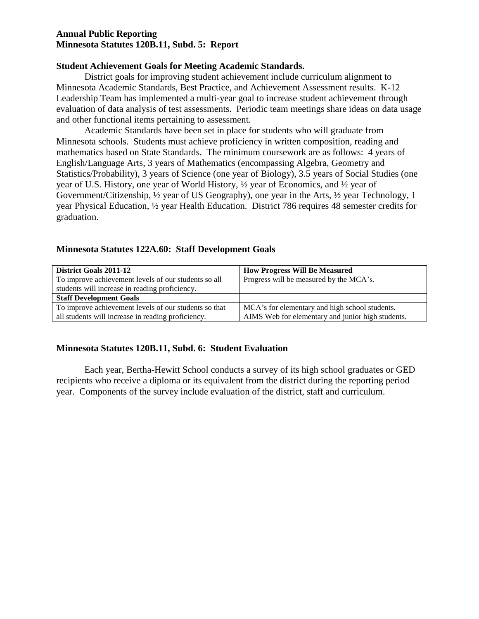## **Annual Public Reporting Minnesota Statutes 120B.11, Subd. 5: Report**

#### **Student Achievement Goals for Meeting Academic Standards.**

District goals for improving student achievement include curriculum alignment to Minnesota Academic Standards, Best Practice, and Achievement Assessment results. K-12 Leadership Team has implemented a multi-year goal to increase student achievement through evaluation of data analysis of test assessments. Periodic team meetings share ideas on data usage and other functional items pertaining to assessment.

Academic Standards have been set in place for students who will graduate from Minnesota schools. Students must achieve proficiency in written composition, reading and mathematics based on State Standards. The minimum coursework are as follows: 4 years of English/Language Arts, 3 years of Mathematics (encompassing Algebra, Geometry and Statistics/Probability), 3 years of Science (one year of Biology), 3.5 years of Social Studies (one year of U.S. History, one year of World History, ½ year of Economics, and ½ year of Government/Citizenship, ½ year of US Geography), one year in the Arts, ½ year Technology, 1 year Physical Education, ½ year Health Education. District 786 requires 48 semester credits for graduation.

## **Minnesota Statutes 122A.60: Staff Development Goals**

| <b>District Goals 2011-12</b>                         | <b>How Progress Will Be Measured</b>              |
|-------------------------------------------------------|---------------------------------------------------|
| To improve achievement levels of our students so all  | Progress will be measured by the MCA's.           |
| students will increase in reading proficiency.        |                                                   |
| <b>Staff Development Goals</b>                        |                                                   |
| To improve achievement levels of our students so that | MCA's for elementary and high school students.    |
| all students will increase in reading proficiency.    | AIMS Web for elementary and junior high students. |

## **Minnesota Statutes 120B.11, Subd. 6: Student Evaluation**

Each year, Bertha-Hewitt School conducts a survey of its high school graduates or GED recipients who receive a diploma or its equivalent from the district during the reporting period year. Components of the survey include evaluation of the district, staff and curriculum.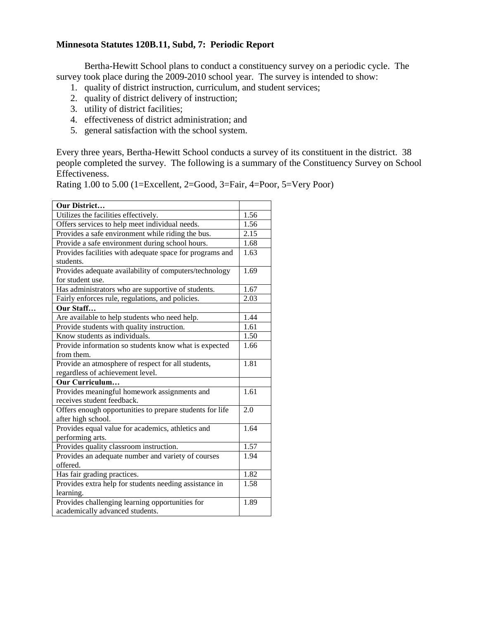## **Minnesota Statutes 120B.11, Subd, 7: Periodic Report**

Bertha-Hewitt School plans to conduct a constituency survey on a periodic cycle. The survey took place during the 2009-2010 school year. The survey is intended to show:

- 1. quality of district instruction, curriculum, and student services;
- 2. quality of district delivery of instruction;
- 3. utility of district facilities;
- 4. effectiveness of district administration; and
- 5. general satisfaction with the school system.

Every three years, Bertha-Hewitt School conducts a survey of its constituent in the district. 38 people completed the survey. The following is a summary of the Constituency Survey on School Effectiveness.

| Rating 1.00 to 5.00 (1=Excellent, 2=Good, 3=Fair, 4=Poor, 5=Very Poor) |  |
|------------------------------------------------------------------------|--|
|                                                                        |  |

| Our District                                             | 1.56 |  |  |
|----------------------------------------------------------|------|--|--|
| Utilizes the facilities effectively.                     |      |  |  |
| Offers services to help meet individual needs.           | 1.56 |  |  |
| Provides a safe environment while riding the bus.        |      |  |  |
| Provide a safe environment during school hours.          | 1.68 |  |  |
| Provides facilities with adequate space for programs and | 1.63 |  |  |
| students.                                                |      |  |  |
| Provides adequate availability of computers/technology   | 1.69 |  |  |
| for student use.                                         |      |  |  |
| Has administrators who are supportive of students.       | 1.67 |  |  |
| Fairly enforces rule, regulations, and policies.         | 2.03 |  |  |
| Our Staff                                                |      |  |  |
| Are available to help students who need help.            | 1.44 |  |  |
| Provide students with quality instruction.               | 1.61 |  |  |
| Know students as individuals.                            | 1.50 |  |  |
| Provide information so students know what is expected    | 1.66 |  |  |
| from them.                                               |      |  |  |
| Provide an atmosphere of respect for all students,       | 1.81 |  |  |
| regardless of achievement level.                         |      |  |  |
| Our Curriculum                                           |      |  |  |
| Provides meaningful homework assignments and             | 1.61 |  |  |
| receives student feedback.                               |      |  |  |
| Offers enough opportunities to prepare students for life | 2.0  |  |  |
| after high school.                                       |      |  |  |
| Provides equal value for academics, athletics and        | 1.64 |  |  |
| performing arts.                                         |      |  |  |
| Provides quality classroom instruction.                  | 1.57 |  |  |
| Provides an adequate number and variety of courses       | 1.94 |  |  |
| offered.                                                 |      |  |  |
| Has fair grading practices.                              | 1.82 |  |  |
| Provides extra help for students needing assistance in   |      |  |  |
| learning.                                                |      |  |  |
| Provides challenging learning opportunities for          | 1.89 |  |  |
| academically advanced students.                          |      |  |  |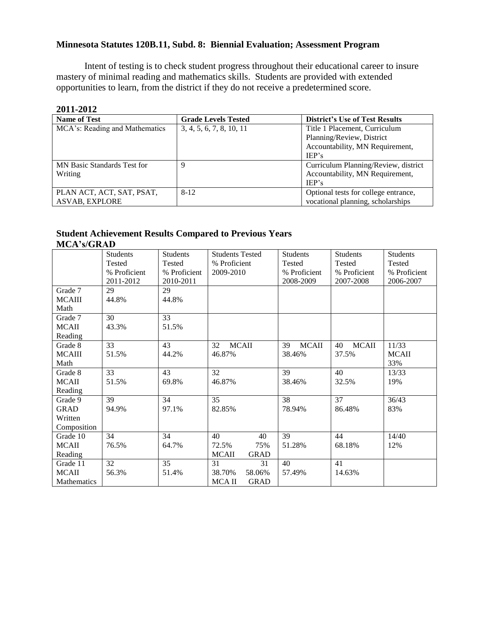# **Minnesota Statutes 120B.11, Subd. 8: Biennial Evaluation; Assessment Program**

Intent of testing is to check student progress throughout their educational career to insure mastery of minimal reading and mathematics skills. Students are provided with extended opportunities to learn, from the district if they do not receive a predetermined score.

#### **2011-2012**

| <b>Name of Test</b>                | <b>Grade Levels Tested</b> | <b>District's Use of Test Results</b> |
|------------------------------------|----------------------------|---------------------------------------|
| MCA's: Reading and Mathematics     | 3, 4, 5, 6, 7, 8, 10, 11   | Title 1 Placement, Curriculum         |
|                                    |                            | Planning/Review, District             |
|                                    |                            | Accountability, MN Requirement,       |
|                                    |                            | IEP's                                 |
| <b>MN</b> Basic Standards Test for | Q                          | Curriculum Planning/Review, district  |
| Writing                            |                            | Accountability, MN Requirement,       |
|                                    |                            | IEP's                                 |
| PLAN ACT, ACT, SAT, PSAT,          | $8-12$                     | Optional tests for college entrance,  |
| <b>ASVAB, EXPLORE</b>              |                            | vocational planning, scholarships     |

# **Student Achievement Results Compared to Previous Years MCA's/GRAD**

|                    | <b>Students</b> | <b>Students</b> | <b>Students Tested</b>      | <b>Students</b>    | <b>Students</b>    | Students      |
|--------------------|-----------------|-----------------|-----------------------------|--------------------|--------------------|---------------|
|                    | <b>Tested</b>   | Tested          | % Proficient                | Tested             | <b>Tested</b>      | <b>Tested</b> |
|                    | % Proficient    | % Proficient    | 2009-2010                   | % Proficient       | % Proficient       | % Proficient  |
|                    | 2011-2012       | 2010-2011       |                             | 2008-2009          | 2007-2008          | 2006-2007     |
| Grade 7            | 29              | 29              |                             |                    |                    |               |
| <b>MCAIII</b>      | 44.8%           | 44.8%           |                             |                    |                    |               |
| Math               |                 |                 |                             |                    |                    |               |
| Grade 7            | 30              | 33              |                             |                    |                    |               |
| <b>MCAII</b>       | 43.3%           | 51.5%           |                             |                    |                    |               |
| Reading            |                 |                 |                             |                    |                    |               |
| Grade 8            | 33              | 43              | <b>MCAII</b><br>32          | <b>MCAII</b><br>39 | <b>MCAII</b><br>40 | 11/33         |
| <b>MCAIII</b>      | 51.5%           | 44.2%           | 46.87%                      | 38.46%             | 37.5%              | <b>MCAII</b>  |
| Math               |                 |                 |                             |                    |                    | 33%           |
| Grade 8            | 33              | 43              | 32                          | 39                 | 40                 | 13/33         |
| <b>MCAII</b>       | 51.5%           | 69.8%           | 46.87%                      | 38.46%             | 32.5%              | 19%           |
| Reading            |                 |                 |                             |                    |                    |               |
| Grade 9            | 39              | 34              | 35                          | 38                 | 37                 | 36/43         |
| <b>GRAD</b>        | 94.9%           | 97.1%           | 82.85%                      | 78.94%             | 86.48%             | 83%           |
| Written            |                 |                 |                             |                    |                    |               |
| Composition        |                 |                 |                             |                    |                    |               |
| Grade 10           | 34              | 34              | 40<br>40                    | 39                 | 44                 | 14/40         |
| <b>MCAII</b>       | 76.5%           | 64.7%           | 72.5%<br>75%                | 51.28%             | 68.18%             | 12%           |
| Reading            |                 |                 | <b>MCAII</b><br><b>GRAD</b> |                    |                    |               |
| Grade 11           | 32              | 35              | 31<br>31                    | 40                 | 41                 |               |
| <b>MCAII</b>       | 56.3%           | 51.4%           | 38.70%<br>58.06%            | 57.49%             | 14.63%             |               |
| <b>Mathematics</b> |                 |                 | MCA II<br><b>GRAD</b>       |                    |                    |               |